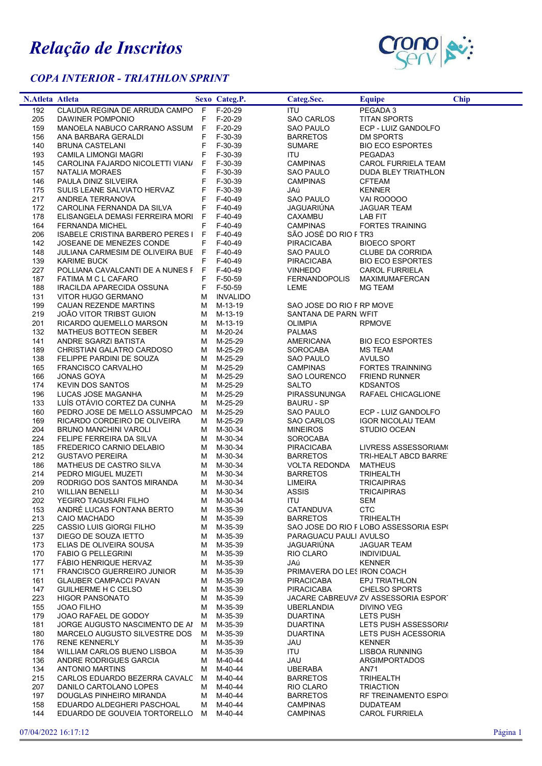## Relação de Inscritos

## COPA INTERIOR - TRIATHLON SPRINT



| N.Atleta Atleta |                                                                        |    | Sexo Categ.P.          | Categ.Sec.                  | <b>Equipe</b>                           | <b>Chip</b> |
|-----------------|------------------------------------------------------------------------|----|------------------------|-----------------------------|-----------------------------------------|-------------|
| 192             | CLAUDIA REGINA DE ARRUDA CAMPO F F-20-29                               |    |                        | <b>ITU</b>                  | PEGADA 3                                |             |
| 205             | DAWINER POMPONIO                                                       |    | F F-20-29              | SAO CARLOS                  | <b>TITAN SPORTS</b>                     |             |
| 159             | MANOELA NABUCO CARRANO ASSUM F F-20-29                                 |    |                        | SAO PAULO                   | ECP - LUIZ GANDOLFO                     |             |
| 156             | ANA BARBARA GERALDI                                                    | F  | F-30-39                | <b>BARRETOS</b>             | DM SPORTS                               |             |
| 140             | BRUNA CASTELANI                                                        | F. | F-30-39                | <b>SUMARE</b>               | <b>BIO ECO ESPORTES</b>                 |             |
| 193             | CAMILA LIMONGI MAGRI                                                   | F  | F-30-39                | ITU                         | PEGADA3                                 |             |
| 145             | CAROLINA FAJARDO NICOLETTI VIANA                                       |    | F F-30-39              | <b>CAMPINAS</b>             | CAROL FURRIELA TEAM                     |             |
| 157             | NATALIA MORAES                                                         |    | F F-30-39              | SAO PAULO                   | DUDA BLEY TRIATHLON                     |             |
| 146             | PAULA DINIZ SILVEIRA                                                   | F. | F-30-39                | <b>CAMPINAS</b>             | <b>CFTEAM</b>                           |             |
| 175             | SULIS LEANE SALVIATO HERVAZ                                            | F. | F-30-39                | JAú                         | <b>KENNER</b>                           |             |
| 217             | ANDREA TERRANOVA                                                       | F. | F-40-49                | <b>SAO PAULO</b>            | VAI ROOOOO                              |             |
| 172             | CAROLINA FERNANDA DA SILVA                                             | F. | F-40-49                | JAGUARIÚNA                  | <b>JAGUAR TEAM</b>                      |             |
| 178             | ELISANGELA DEMASI FERREIRA MORI F                                      |    | F-40-49                | CAXAMBU                     | LAB FIT                                 |             |
| 164             | <b>FERNANDA MICHEL</b>                                                 | F. | F-40-49                | CAMPINAS                    | <b>FORTES TRAINING</b>                  |             |
| 206             | ISABELE CRISTINA BARBERO PERES I F F-40-49                             |    |                        | SÃO JOSÉ DO RIO F TR3       |                                         |             |
| 142<br>148      | JOSEANE DE MENEZES CONDE<br>JULIANA CARMESIM DE OLIVEIRA BUE F F-40-49 | F. | F-40-49                | PIRACICABA<br>SAO PAULO     | <b>BIOECO SPORT</b><br>CLUBE DA CORRIDA |             |
| 139             | <b>KARIME BUCK</b>                                                     | F. | F-40-49                | <b>PIRACICABA</b>           | <b>BIO ECO ESPORTES</b>                 |             |
| 227             | POLLIANA CAVALCANTI DE A NUNES F F F-40-49                             |    |                        | <b>VINHEDO</b>              | <b>CAROL FURRIELA</b>                   |             |
| 187             | FATIMA M C L CAFARO                                                    | F  | F-50-59                | FERNANDOPOLIS               | <b>MAXIMUMAFERCAN</b>                   |             |
| 188             | IRACILDA APARECIDA OSSUNA                                              |    | F F-50-59              | LEME                        | <b>MG TEAM</b>                          |             |
| 131             | VITOR HUGO GERMANO                                                     |    | M INVALIDO             |                             |                                         |             |
| 199             | CAUAN REZENDE MARTINS                                                  |    | M M-13-19              | SAO JOSE DO RIO F RP MOVE   |                                         |             |
| 219             | JOÃO VITOR TRIBST GUION                                                |    | M M-13-19              | SANTANA DE PARN. WFIT       |                                         |             |
| 201             | RICARDO QUEMELLO MARSON                                                |    | M M-13-19              | <b>OLIMPIA</b>              | <b>RPMOVE</b>                           |             |
| 132             | MATHEUS BOTTEON SEBER                                                  |    | M M-20-24              | <b>PALMAS</b>               |                                         |             |
| 141             | ANDRE SGARZI BATISTA                                                   |    | M M-25-29              | AMERICANA                   | <b>BIO ECO ESPORTES</b>                 |             |
| 189             | CHRISTIAN GALATRO CARDOSO                                              |    | M M-25-29              | SOROCABA                    | MS TEAM                                 |             |
| 138             | FELIPPE PARDINI DE SOUZA                                               |    | M M-25-29              | SAO PAULO                   | <b>AVULSO</b>                           |             |
| 165             | FRANCISCO CARVALHO                                                     |    | M M-25-29              | CAMPINAS                    | <b>FORTES TRAINNING</b>                 |             |
| 166             | JONAS GOYA                                                             |    | M M-25-29              | SAO LOURENCO                | <b>FRIEND RUNNER</b>                    |             |
| 174             | <b>KEVIN DOS SANTOS</b>                                                |    | M M-25-29              | <b>SALTO</b>                | <b>KDSANTOS</b>                         |             |
| 196             | LUCAS JOSE MAGANHA                                                     | M  | M-25-29                | PIRASSUNUNGA                | RAFAEL CHICAGLIONE                      |             |
| 133             | LUIS OTAVIO CORTEZ DA CUNHA                                            |    | M M-25-29              | BAURU - SP                  |                                         |             |
| 160             | PEDRO JOSE DE MELLO ASSUMPCAO                                          | M  | M-25-29                | SAO PAULO                   | ECP - LUIZ GANDOLFO                     |             |
| 169             | RICARDO CORDEIRO DE OLIVEIRA                                           | M  | M-25-29                | <b>SAO CARLOS</b>           | <b>IGOR NICOLAU TEAM</b>                |             |
| 204             | BRUNO MANCHINI VAROLI                                                  | М  | M-30-34                | <b>MINEIROS</b>             | STUDIO OCEAN                            |             |
| 224             | FELIPE FERREIRA DA SILVA                                               | M  | M-30-34                | SOROCABA                    |                                         |             |
| 185             | FREDERICO CARNIO DELABIO                                               |    | M M-30-34              | <b>PIRACICABA</b>           | LIVRESS ASSESSORIAM(                    |             |
| 212             | <b>GUSTAVO PEREIRA</b>                                                 |    | M M-30-34              | <b>BARRETOS</b>             | TRI-HEALT ABCD BARRE                    |             |
| 186             | MATHEUS DE CASTRO SILVA                                                |    | M M-30-34              | <b>VOLTA REDONDA</b>        | MATHEUS                                 |             |
| 214             | PEDRO MIGUEL MUZETI                                                    |    | M M-30-34              | <b>BARRETOS</b>             | TRIHEALTH                               |             |
| 209             | RODRIGO DOS SANTOS MIRANDA                                             |    | M M-30-34              | <b>LIMEIRA</b>              | <b>TRICAIPIRAS</b>                      |             |
| 210             | <b>WILLIAN BENELLI</b>                                                 |    | M M-30-34              | ASSIS                       | <b>TRICAIPIRAS</b>                      |             |
| 202<br>153      | YEGIRO TAGUSARI FILHO<br>ANDRÉ LUCAS FONTANA BERTO                     |    | M M-30-34<br>M M-35-39 | ITU<br>CATANDUVA            | SEM<br><b>CTC</b>                       |             |
| 213             | CAIO MACHADO                                                           |    | M M-35-39              | <b>BARRETOS</b>             | <b>TRIHEALTH</b>                        |             |
| 225             | CASSIO LUIS GIORGI FILHO                                               |    | M M-35-39              |                             | SAO JOSE DO RIO F LOBO ASSESSORIA ESPO  |             |
| 137             | DIEGO DE SOUZA IETTO                                                   |    | M M-35-39              | PARAGUACU PAULI AVULSO      |                                         |             |
| 173             | ELIAS DE OLIVEIRA SOUSA                                                |    | M M-35-39              | JAGUARIÚNA                  | <b>JAGUAR TEAM</b>                      |             |
| 170             | <b>FABIO G PELLEGRINI</b>                                              |    | M M-35-39              | RIO CLARO                   | INDIVIDUAL                              |             |
| 177             | <b>FABIO HENRIQUE HERVAZ</b>                                           |    | M M-35-39              | JAú                         | <b>KENNER</b>                           |             |
| 171             | <b>FRANCISCO GUERREIRO JUNIOR</b>                                      |    | M M-35-39              | PRIMAVERA DO LES IRON COACH |                                         |             |
| 161             | <b>GLAUBER CAMPACCI PAVAN</b>                                          |    | M M-35-39              | PIRACICABA                  | EPJ TRIATHLON                           |             |
| 147             | GUILHERME H C CELSO                                                    |    | M M-35-39              | PIRACICABA                  | <b>CHELSO SPORTS</b>                    |             |
| 223             | <b>HIGOR PANSONATO</b>                                                 |    | M M-35-39              |                             | JACARE CABREUVA ZV ASSESSORIA ESPORT    |             |
| 155             | <b>JOAO FILHO</b>                                                      |    | M M-35-39              | <b>UBERLANDIA</b>           | DIVINO VEG                              |             |
| 179             | JOAO RAFAEL DE GODOY                                                   |    | M M-35-39              | DUARTINA                    | LETS PUSH                               |             |
| 181             | JORGE AUGUSTO NASCIMENTO DE AI                                         | M  | M-35-39                | <b>DUARTINA</b>             | LETS PUSH ASSESSORIA                    |             |
| 180             | MARCELO AUGUSTO SILVESTRE DOS                                          | M  | M-35-39                | <b>DUARTINA</b>             | LETS PUSH ACESSORIA                     |             |
| 176             | <b>RENE KENNERLY</b>                                                   |    | M M-35-39              | JAU                         | <b>KENNER</b>                           |             |
| 184             | WILLIAM CARLOS BUENO LISBOA                                            |    | M M-35-39              | ITU                         | <b>LISBOA RUNNING</b>                   |             |
| 136             | ANDRE RODRIGUES GARCIA                                                 |    | M M-40-44              | JAU                         | ARGIMPORTADOS                           |             |
| 134             | ANTONIO MARTINS                                                        |    | M M-40-44              | <b>UBERABA</b>              | AN71                                    |             |
| 215             | CARLOS EDUARDO BEZERRA CAVALC M M-40-44                                |    |                        | <b>BARRETOS</b>             | <b>TRIHEALTH</b>                        |             |
| 207             | DANILO CARTOLANO LOPES                                                 |    | M M-40-44              | RIO CLARO                   | <b>TRIACTION</b>                        |             |
| 197             | DOUGLAS PINHEIRO MIRANDA                                               |    | M M-40-44              | <b>BARRETOS</b>             | RF TREINAMENTO ESPOI                    |             |
| 158             | EDUARDO ALDEGHERI PASCHOAL                                             |    | M M-40-44              | CAMPINAS                    | <b>DUDATEAM</b>                         |             |
| 144             | EDUARDO DE GOUVEIA TORTORELLO M M-40-44                                |    |                        | <b>CAMPINAS</b>             | <b>CAROL FURRIELA</b>                   |             |